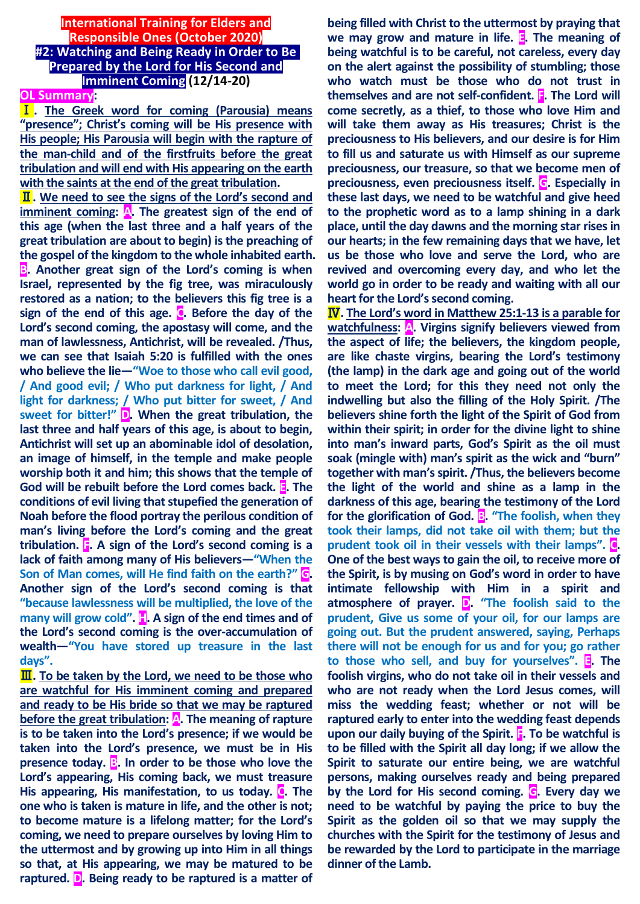#### **International Training for Elders and Responsible Ones (October 2020) #2: Watching and Being Ready in Order to Be Prepared by the Lord for His Second and Imminent Coming (12/14-20)**

## **OL Summary:**

Ⅰ**. The Greek word for coming (Parousia) means "presence"; Christ's coming will be His presence with His people; His Parousia will begin with the rapture of the man-child and of the firstfruits before the great tribulation and will end with His appearing on the earth with the saints at the end of the great tribulation.**

Ⅱ**. We need to see the signs of the Lord's second and imminent coming: A. The greatest sign of the end of this age (when the last three and a half years of the great tribulation are about to begin) is the preaching of the gospel of the kingdom to the whole inhabited earth. B. Another great sign of the Lord's coming is when Israel, represented by the fig tree, was miraculously restored as a nation; to the believers this fig tree is a sign of the end of this age. C. Before the day of the Lord's second coming, the apostasy will come, and the man of lawlessness, Antichrist, will be revealed. /Thus, we can see that Isaiah 5:20 is fulfilled with the ones who believe the lie—"Woe to those who call evil good, / And good evil; / Who put darkness for light, / And light for darkness; / Who put bitter for sweet, / And sweet for bitter!" D. When the great tribulation, the last three and half years of this age, is about to begin, Antichrist will set up an abominable idol of desolation, an image of himself, in the temple and make people worship both it and him; this shows that the temple of God will be rebuilt before the Lord comes back. E. The conditions of evil living that stupefied the generation of Noah before the flood portray the perilous condition of man's living before the Lord's coming and the great tribulation. F. A sign of the Lord's second coming is a lack of faith among many of His believers—"When the Son of Man comes, will He find faith on the earth?" G. Another sign of the Lord's second coming is that "because lawlessness will be multiplied, the love of the many will grow cold". H. A sign of the end times and of the Lord's second coming is the over-accumulation of wealth—"You have stored up treasure in the last days".**

Ⅲ**. To be taken by the Lord, we need to be those who are watchful for His imminent coming and prepared and ready to be His bride so that we may be raptured before the great tribulation: A. The meaning of rapture is to be taken into the Lord's presence; if we would be taken into the Lord's presence, we must be in His presence today. B. In order to be those who love the Lord's appearing, His coming back, we must treasure His appearing, His manifestation, to us today. C. The one who is taken is mature in life, and the other is not; to become mature is a lifelong matter; for the Lord's coming, we need to prepare ourselves by loving Him to the uttermost and by growing up into Him in all things so that, at His appearing, we may be matured to be raptured. D. Being ready to be raptured is a matter of** 

**being filled with Christ to the uttermost by praying that we may grow and mature in life. E. The meaning of being watchful is to be careful, not careless, every day on the alert against the possibility of stumbling; those who watch must be those who do not trust in themselves and are not self-confident. F. The Lord will come secretly, as a thief, to those who love Him and will take them away as His treasures; Christ is the preciousness to His believers, and our desire is for Him to fill us and saturate us with Himself as our supreme preciousness, our treasure, so that we become men of preciousness, even preciousness itself. G. Especially in these last days, we need to be watchful and give heed to the prophetic word as to a lamp shining in a dark place, until the day dawns and the morning star rises in our hearts; in the few remaining days that we have, let us be those who love and serve the Lord, who are revived and overcoming every day, and who let the world go in order to be ready and waiting with all our heart for the Lord's second coming.**

Ⅳ**. The Lord's word in Matthew 25:1-13 is a parable for watchfulness: A. Virgins signify believers viewed from the aspect of life; the believers, the kingdom people, are like chaste virgins, bearing the Lord's testimony (the lamp) in the dark age and going out of the world to meet the Lord; for this they need not only the indwelling but also the filling of the Holy Spirit. /The believers shine forth the light of the Spirit of God from within their spirit; in order for the divine light to shine into man's inward parts, God's Spirit as the oil must soak (mingle with) man's spirit as the wick and "burn" together with man's spirit. /Thus, the believers become the light of the world and shine as a lamp in the darkness of this age, bearing the testimony of the Lord for the glorification of God. B. "The foolish, when they took their lamps, did not take oil with them; but the prudent took oil in their vessels with their lamps". C. One of the best ways to gain the oil, to receive more of the Spirit, is by musing on God's word in order to have intimate fellowship with Him in a spirit and atmosphere of prayer. D. "The foolish said to the prudent, Give us some of your oil, for our lamps are going out. But the prudent answered, saying, Perhaps there will not be enough for us and for you; go rather to those who sell, and buy for yourselves". E. The foolish virgins, who do not take oil in their vessels and who are not ready when the Lord Jesus comes, will miss the wedding feast; whether or not will be raptured early to enter into the wedding feast depends**  upon our daily buying of the Spirit. **F.** To be watchful is **to be filled with the Spirit all day long; if we allow the Spirit to saturate our entire being, we are watchful persons, making ourselves ready and being prepared by the Lord for His second coming. G. Every day we need to be watchful by paying the price to buy the Spirit as the golden oil so that we may supply the churches with the Spirit for the testimony of Jesus and be rewarded by the Lord to participate in the marriage dinner of the Lamb.**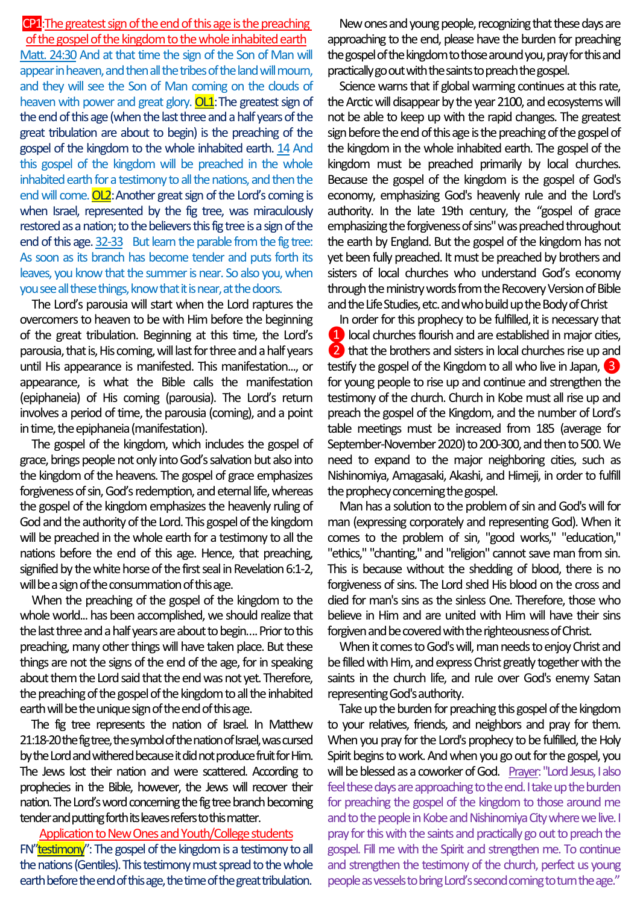#### CP1: The greatest sign of the end of this age is the preaching of the gospel of the kingdom to the whole inhabited earth

Matt. 24:30 And at that time the sign of the Son of Man will appear in heaven, and then all the tribes of the land will mourn, and they will see the Son of Man coming on the clouds of heaven with power and great glory.  $OL1$ : The greatest sign of the end of this age (when the last three and a half years of the great tribulation are about to begin) is the preaching of the gospel of the kingdom to the whole inhabited earth. 14 And this gospel of the kingdom will be preached in the whole inhabited earth for a testimony to all the nations, and then the end will come. **OL2**: Another great sign of the Lord's coming is when Israel, represented by the fig tree, was miraculously restored as a nation; to the believers this fig tree is a sign of the end of this age. 32-33 But learn the parable from the fig tree: As soon as its branch has become tender and puts forth its leaves, you know that the summer is near. So also you, when you see all these things, know that it is near, at the doors.

The Lord's parousia will start when the Lord raptures the overcomers to heaven to be with Him before the beginning of the great tribulation. Beginning at this time, the Lord's parousia, that is, His coming, will last for three and a half years until His appearance is manifested. This manifestation..., or appearance, is what the Bible calls the manifestation (epiphaneia) of His coming (parousia). The Lord's return involves a period of time, the parousia (coming), and a point in time, the epiphaneia (manifestation).

The gospel of the kingdom, which includes the gospel of grace, brings people not only into God's salvation but also into the kingdom of the heavens. The gospel of grace emphasizes forgiveness of sin, God's redemption, and eternal life, whereas the gospel of the kingdom emphasizes the heavenly ruling of God and the authority of the Lord. This gospel of the kingdom will be preached in the whole earth for a testimony to all the nations before the end of this age. Hence, that preaching, signified by the white horse of the first seal in Revelation 6:1-2, will be a sign of the consummation of this age.

When the preaching of the gospel of the kingdom to the whole world... has been accomplished, we should realize that the last three and a half years are about to begin…. Prior to this preaching, many other things will have taken place. But these things are not the signs of the end of the age, for in speaking about them the Lord said that the end was not yet. Therefore, the preaching of the gospel of the kingdom to all the inhabited earth will be the unique sign of the end of this age.

The fig tree represents the nation of Israel. In Matthew 21:18-20 the fig tree, the symbol of the nation of Israel, was cursed by the Lord and withered because it did not produce fruit for Him. The Jews lost their nation and were scattered. According to prophecies in the Bible, however, the Jews will recover their nation. The Lord's word concerning the fig tree branch becoming tender and putting forth its leaves refers to this matter.

Application to New Ones and Youth/College students FN"testimony": The gospel of the kingdom is a testimony to all the nations (Gentiles). This testimony must spread to the whole earth before the end of this age, the time of the great tribulation.

New ones and young people, recognizing that these days are approaching to the end, please have the burden for preaching the gospel of the kingdom to those around you, pray for this and practically go out with the saints to preach the gospel.

Science warns that if global warming continues at this rate, the Arctic will disappear by the year 2100, and ecosystems will not be able to keep up with the rapid changes. The greatest sign before the end of this age is the preaching of the gospel of the kingdom in the whole inhabited earth. The gospel of the kingdom must be preached primarily by local churches. Because the gospel of the kingdom is the gospel of God's economy, emphasizing God's heavenly rule and the Lord's authority. In the late 19th century, the "gospel of grace emphasizing the forgiveness of sins" was preached throughout the earth by England. But the gospel of the kingdom has not yet been fully preached. It must be preached by brothers and sisters of local churches who understand God's economy through the ministry words from the Recovery Version of Bible and the Life Studies, etc. and who build up the Body of Christ

In order for this prophecy to be fulfilled, it is necessary that **1** local churches flourish and are established in major cities, 2 that the brothers and sisters in local churches rise up and testify the gospel of the Kingdom to all who live in Japan, ❸ for young people to rise up and continue and strengthen the testimony of the church. Church in Kobe must all rise up and preach the gospel of the Kingdom, and the number of Lord's table meetings must be increased from 185 (average for September-November 2020) to 200-300, and then to 500. We need to expand to the major neighboring cities, such as Nishinomiya, Amagasaki, Akashi, and Himeji, in order to fulfill the prophecy concerning the gospel.

Man has a solution to the problem of sin and God's will for man (expressing corporately and representing God). When it comes to the problem of sin, "good works," "education," "ethics," "chanting," and "religion" cannot save man from sin. This is because without the shedding of blood, there is no forgiveness of sins. The Lord shed His blood on the cross and died for man's sins as the sinless One. Therefore, those who believe in Him and are united with Him will have their sins forgiven and be covered with the righteousness of Christ.

When it comes to God's will, man needs to enjoy Christ and be filled with Him, and express Christ greatly together with the saints in the church life, and rule over God's enemy Satan representing God's authority.

Take up the burden for preaching this gospel of the kingdom to your relatives, friends, and neighbors and pray for them. When you pray for the Lord's prophecy to be fulfilled, the Holy Spirit begins to work. And when you go out for the gospel, you will be blessed as a coworker of God. Prayer: "Lord Jesus, I also feel these days are approaching to the end. I take up the burden for preaching the gospel of the kingdom to those around me and to the people in Kobe and Nishinomiya City where we live. I pray for this with the saints and practically go out to preach the gospel. Fill me with the Spirit and strengthen me. To continue and strengthen the testimony of the church, perfect us young people as vessels to bring Lord's second coming to turn the age."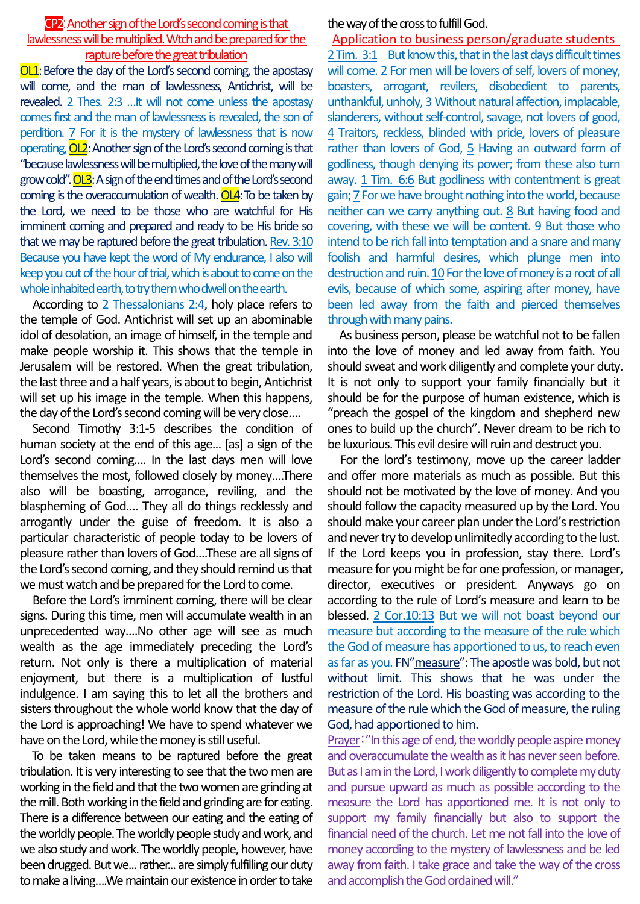#### CP2:Another sign of the Lord's second coming is that lawlessness will be multiplied. Wtch and be prepared for the rapture before the great tribulation

OL1: Before the day of the Lord's second coming, the apostasy will come, and the man of lawlessness, Antichrist, will be revealed. 2 Thes. 2:3 …It will not come unless the apostasy comes first and the man of lawlessness is revealed, the son of perdition. 7 For it is the mystery of lawlessness that is now operating, OL2:Another sign of the Lord's second coming is that "because lawlessness will be multiplied, the love of the many will grow cold". **OL3**: A sign of the end times and of the Lord's second coming is the overaccumulation of wealth.  $OL4$ : To be taken by the Lord, we need to be those who are watchful for His imminent coming and prepared and ready to be His bride so that we may be raptured before the great tribulation. Rev. 3:10 Because you have kept the word of My endurance, I also will keep you out of the hour of trial, which is about to come on the whole inhabited earth, to try them who dwell on the earth.

According to 2 Thessalonians 2:4, holy place refers to the temple of God. Antichrist will set up an abominable idol of desolation, an image of himself, in the temple and make people worship it. This shows that the temple in Jerusalem will be restored. When the great tribulation, the last three and a half years, is about to begin, Antichrist will set up his image in the temple. When this happens, the day of the Lord's second coming will be very close….

Second Timothy 3:1-5 describes the condition of human society at the end of this age... [as] a sign of the Lord's second coming…. In the last days men will love themselves the most, followed closely by money….There also will be boasting, arrogance, reviling, and the blaspheming of God…. They all do things recklessly and arrogantly under the guise of freedom. It is also a particular characteristic of people today to be lovers of pleasure rather than lovers of God….These are all signs of the Lord's second coming, and they should remind us that we must watch and be prepared for the Lord to come.

Before the Lord's imminent coming, there will be clear signs. During this time, men will accumulate wealth in an unprecedented way….No other age will see as much wealth as the age immediately preceding the Lord's return. Not only is there a multiplication of material enjoyment, but there is a multiplication of lustful indulgence. I am saying this to let all the brothers and sisters throughout the whole world know that the day of the Lord is approaching! We have to spend whatever we have on the Lord, while the money is still useful.

To be taken means to be raptured before the great tribulation. It is very interesting to see that the two men are working in the field and that the two women are grinding at the mill. Both working inthe field and grinding are for eating. There is a difference between our eating and the eating of the worldly people. The worldly people study and work, and we also study and work. The worldly people, however, have been drugged. But we... rather... are simply fulfilling our duty to make a living….We maintain our existence in order to take

the way of the cross to fulfill God.

Application to business person/graduate students 2 Tim. 3:1 But know this, that in the last days difficult times will come. 2 For men will be lovers of self, lovers of money, boasters, arrogant, revilers, disobedient to parents, unthankful, unholy, 3 Without natural affection, implacable, slanderers, without self-control, savage, not lovers of good, 4 Traitors, reckless, blinded with pride, lovers of pleasure rather than lovers of God, 5 Having an outward form of godliness, though denying its power; from these also turn away. 1 Tim. 6:6 But godliness with contentment is great gain;7For we have brought nothing into the world, because neither can we carry anything out. 8 But having food and covering, with these we will be content. 9 But those who intend to be rich fall into temptation and a snare and many foolish and harmful desires, which plunge men into destruction and ruin. 10 For the love of money is a root of all evils, because of which some, aspiring after money, have been led away from the faith and pierced themselves through with many pains.

As business person, please be watchful not to be fallen into the love of money and led away from faith. You should sweat and work diligently and complete your duty. It is not only to support your family financially but it should be for the purpose of human existence, which is "preach the gospel of the kingdom and shepherd new ones to build up the church". Never dream to be rich to be luxurious. This evil desire will ruin and destruct you.

For the lord's testimony, move up the career ladder and offer more materials as much as possible. But this should not be motivated by the love of money. And you should follow the capacity measured up by the Lord. You should make your career plan under the Lord's restriction and never try to develop unlimitedly according to the lust. If the Lord keeps you in profession, stay there. Lord's measure for you might be for one profession, or manager, director, executives or president. Anyways go on according to the rule of Lord's measure and learn to be blessed. 2 Cor.10:13 But we will not boast beyond our measure but according to the measure of the rule which the God of measure has apportioned to us, to reach even as far as you. FN"measure": The apostle was bold, but not without limit. This shows that he was under the restriction of the Lord. His boasting was according to the measure of the rule which the God of measure, the ruling God, had apportioned to him.

Prayer:"In this age of end, the worldly people aspire money and overaccumulate the wealth as it has never seen before. But as I am in the Lord, I work diligently to complete my duty and pursue upward as much as possible according to the measure the Lord has apportioned me. It is not only to support my family financially but also to support the financial need of the church. Let me not fall into the love of money according to the mystery of lawlessness and be led away from faith. I take grace and take the way of the cross and accomplish the God ordained will."